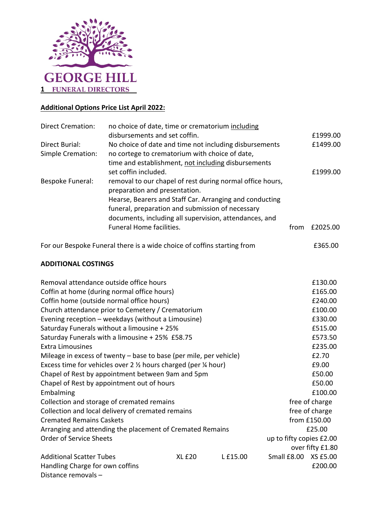

## **Additional Options Price List April 2022:**

| <b>Direct Cremation:</b>            | no choice of date, time or crematorium including<br>disbursements and set coffin.                                                                                                                                                                                   |      | £1999.00 |
|-------------------------------------|---------------------------------------------------------------------------------------------------------------------------------------------------------------------------------------------------------------------------------------------------------------------|------|----------|
| Direct Burial:<br>Simple Cremation: | No choice of date and time not including disbursements<br>no cortege to crematorium with choice of date,<br>time and establishment, not including disbursements                                                                                                     |      | £1499.00 |
|                                     | set coffin included.                                                                                                                                                                                                                                                |      | £1999.00 |
| Bespoke Funeral:                    | removal to our chapel of rest during normal office hours,<br>preparation and presentation.<br>Hearse, Bearers and Staff Car. Arranging and conducting<br>funeral, preparation and submission of necessary<br>documents, including all supervision, attendances, and |      |          |
|                                     | <b>Funeral Home facilities.</b>                                                                                                                                                                                                                                     | from | £2025.00 |

For our Bespoke Funeral there is a wide choice of coffins starting from E365.00

## **ADDITIONAL COSTINGS**

| Removal attendance outside office hours                                              |                          | £130.00        |             |                  |
|--------------------------------------------------------------------------------------|--------------------------|----------------|-------------|------------------|
| Coffin at home (during normal office hours)                                          |                          | £165.00        |             |                  |
| Coffin home (outside normal office hours)                                            |                          | £240.00        |             |                  |
| Church attendance prior to Cemetery / Crematorium                                    |                          | £100.00        |             |                  |
| Evening reception - weekdays (without a Limousine)                                   |                          | £330.00        |             |                  |
| Saturday Funerals without a limousine + 25%                                          |                          | £515.00        |             |                  |
| Saturday Funerals with a limousine + 25% £58.75                                      |                          | £573.50        |             |                  |
| <b>Extra Limousines</b>                                                              |                          | £235.00        |             |                  |
| Mileage in excess of twenty $-$ base to base (per mile, per vehicle)                 |                          | £2.70          |             |                  |
| Excess time for vehicles over 2 $\frac{1}{2}$ hours charged (per $\frac{1}{4}$ hour) |                          | £9.00          |             |                  |
| Chapel of Rest by appointment between 9am and 5pm                                    |                          | £50.00         |             |                  |
| Chapel of Rest by appointment out of hours                                           |                          | £50.00         |             |                  |
| Embalming                                                                            |                          | £100.00        |             |                  |
| Collection and storage of cremated remains                                           |                          | free of charge |             |                  |
| Collection and local delivery of cremated remains                                    | free of charge           |                |             |                  |
| <b>Cremated Remains Caskets</b>                                                      |                          | from £150.00   |             |                  |
| Arranging and attending the placement of Cremated Remains                            | £25.00                   |                |             |                  |
| <b>Order of Service Sheets</b>                                                       | up to fifty copies £2.00 |                |             |                  |
|                                                                                      |                          |                |             | over fifty £1.80 |
| <b>Additional Scatter Tubes</b>                                                      | <b>XL £20</b>            | L £15.00       | Small £8.00 | XS £5.00         |
| Handling Charge for own coffins                                                      |                          |                |             | £200.00          |
| Distance removals -                                                                  |                          |                |             |                  |